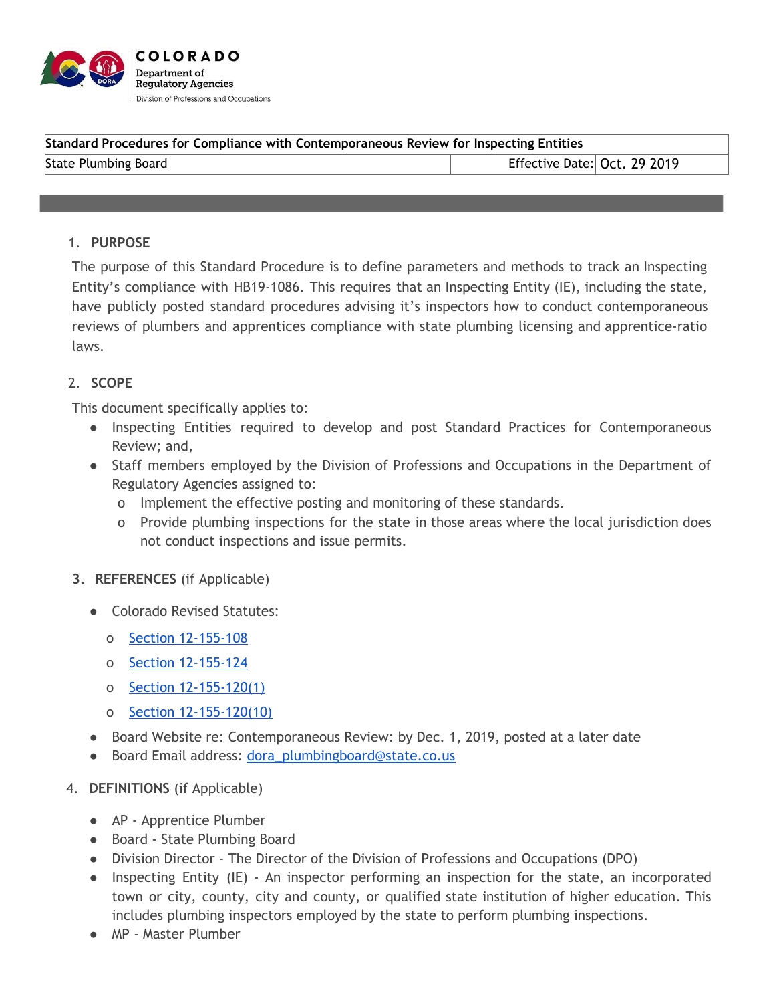

| Standard Procedures for Compliance with Contemporaneous Review for Inspecting Entities |                              |  |
|----------------------------------------------------------------------------------------|------------------------------|--|
| State Plumbing Board                                                                   | Effective Date: Oct. 29 2019 |  |
|                                                                                        |                              |  |

## 1. **PURPOSE**

The purpose of this Standard Procedure is to define parameters and methods to track an Inspecting Entity's compliance with HB19-1086. This requires that an Inspecting Entity (IE), including the state, have publicly posted standard procedures advising it's inspectors how to conduct contemporaneous reviews of plumbers and apprentices compliance with state plumbing licensing and apprentice-ratio laws.

## 2. **SCOPE**

This document specifically applies to:

- Inspecting Entities required to develop and post Standard Practices for Contemporaneous Review; and,
- Staff members employed by the Division of Professions and Occupations in the Department of Regulatory Agencies assigned to:
	- o Implement the effective posting and monitoring of these standards.
	- o Provide plumbing inspections for the state in those areas where the local jurisdiction does not conduct inspections and issue permits.
- **3. REFERENCES** (if Applicable)
	- Colorado Revised Statutes:
		- o Section [12-155-108](https://drive.google.com/file/d/0B-K5DhxXxJZbdy1qVnlSa1p4MDA/view)
		- o Section [12-155-124](https://drive.google.com/file/d/0B-K5DhxXxJZbdy1qVnlSa1p4MDA/view)
		- o Section [12-155-120\(1\)](https://drive.google.com/file/d/0B-K5DhxXxJZbdy1qVnlSa1p4MDA/view)
		- o Section [12-155-120\(10\)](https://drive.google.com/file/d/0B-K5DhxXxJZbdy1qVnlSa1p4MDA/view)
	- Board Website re: Contemporaneous Review: by Dec. 1, 2019, posted at a later date
	- Board Email address: [dora\\_plumbingboard@state.co.us](mailto:dora_plumbingboard@state.co.us)
- 4. **DEFINITIONS** (if Applicable)
	- AP Apprentice Plumber
	- Board State Plumbing Board
	- Division Director The Director of the Division of Professions and Occupations (DPO)
	- Inspecting Entity (IE) An inspector performing an inspection for the state, an incorporated town or city, county, city and county, or qualified state institution of higher education. This includes plumbing inspectors employed by the state to perform plumbing inspections.
	- MP Master Plumber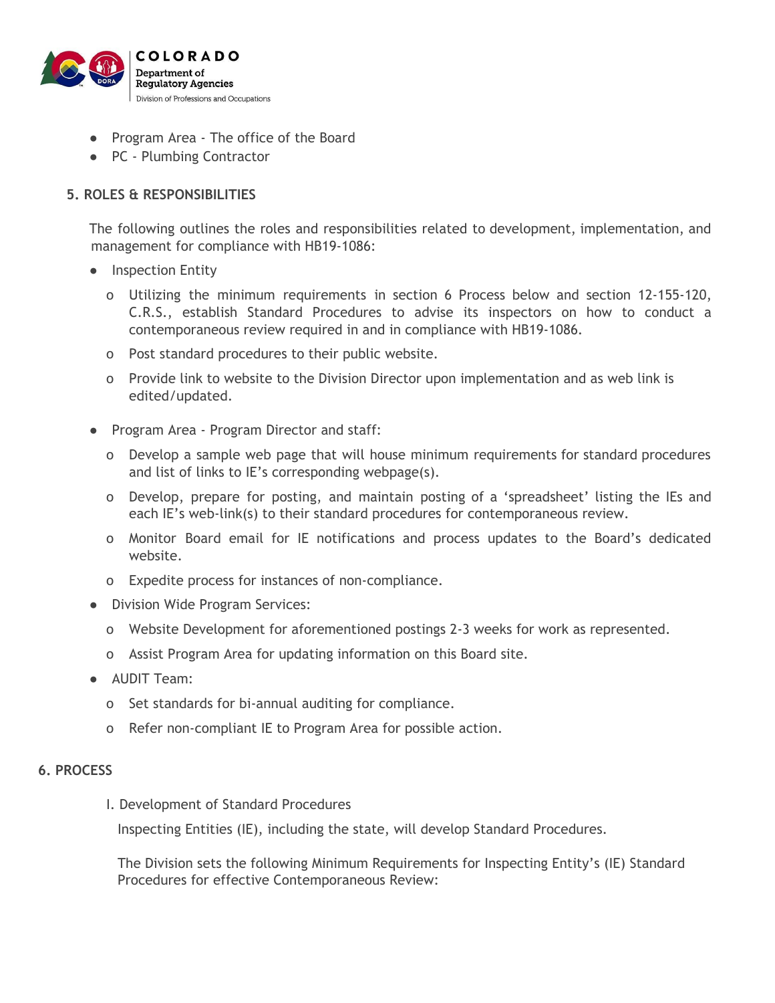

- Program Area The office of the Board
- PC Plumbing Contractor

# **5. ROLES & RESPONSIBILITIES**

The following outlines the roles and responsibilities related to development, implementation, and management for compliance with HB19-1086:

- Inspection Entity
	- o Utilizing the minimum requirements in section 6 Process below and section 12-155-120, C.R.S., establish Standard Procedures to advise its inspectors on how to conduct a contemporaneous review required in and in compliance with HB19-1086.
	- o Post standard procedures to their public website.
	- o Provide link to website to the Division Director upon implementation and as web link is edited/updated.
- Program Area Program Director and staff:
	- o Develop a sample web page that will house minimum requirements for standard procedures and list of links to IE's corresponding webpage(s).
	- o Develop, prepare for posting, and maintain posting of a 'spreadsheet' listing the IEs and each IE's web-link(s) to their standard procedures for contemporaneous review.
	- o Monitor Board email for IE notifications and process updates to the Board's dedicated website.
	- o Expedite process for instances of non-compliance.
- Division Wide Program Services:
	- o Website Development for aforementioned postings 2-3 weeks for work as represented.
	- o Assist Program Area for updating information on this Board site.
- AUDIT Team:
	- o Set standards for bi-annual auditing for compliance.
	- o Refer non-compliant IE to Program Area for possible action.

#### **6. PROCESS**

I. Development of Standard Procedures

Inspecting Entities (IE), including the state, will develop Standard Procedures.

The Division sets the following Minimum Requirements for Inspecting Entity's (IE) Standard Procedures for effective Contemporaneous Review: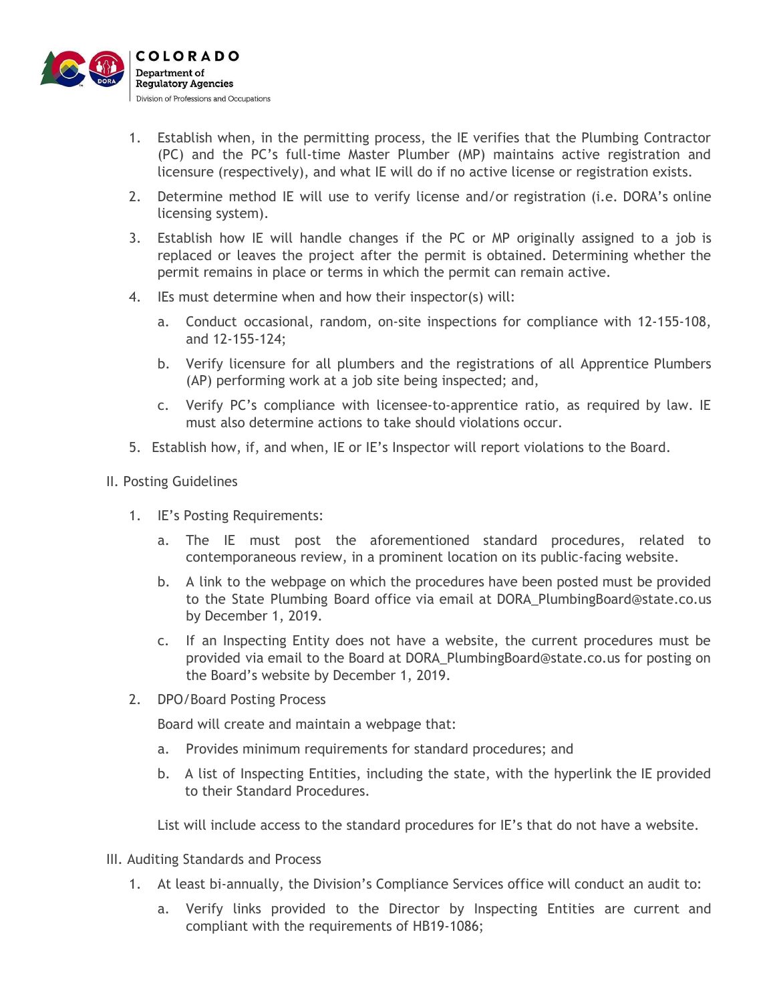

- 1. Establish when, in the permitting process, the IE verifies that the Plumbing Contractor (PC) and the PC's full-time Master Plumber (MP) maintains active registration and licensure (respectively), and what IE will do if no active license or registration exists.
- 2. Determine method IE will use to verify license and/or registration (i.e. DORA's online licensing system).
- 3. Establish how IE will handle changes if the PC or MP originally assigned to a job is replaced or leaves the project after the permit is obtained. Determining whether the permit remains in place or terms in which the permit can remain active.
- 4. IEs must determine when and how their inspector(s) will:
	- a. Conduct occasional, random, on-site inspections for compliance with 12-155-108, and 12-155-124;
	- b. Verify licensure for all plumbers and the registrations of all Apprentice Plumbers (AP) performing work at a job site being inspected; and,
	- c. Verify PC's compliance with licensee-to-apprentice ratio, as required by law. IE must also determine actions to take should violations occur.
- 5. Establish how, if, and when, IE or IE's Inspector will report violations to the Board.

## II. Posting Guidelines

- 1. IE's Posting Requirements:
	- a. The IE must post the aforementioned standard procedures, related to contemporaneous review, in a prominent location on its public-facing website.
	- b. A link to the webpage on which the procedures have been posted must be provided to the State Plumbing Board office via email at DORA\_PlumbingBoard@state.co.us by December 1, 2019.
	- c. If an Inspecting Entity does not have a website, the current procedures must be provided via email to the Board at DORA\_PlumbingBoard@state.co.us for posting on the Board's website by December 1, 2019.
- 2. DPO/Board Posting Process

Board will create and maintain a webpage that:

- a. Provides minimum requirements for standard procedures; and
- b. A list of Inspecting Entities, including the state, with the hyperlink the IE provided to their Standard Procedures.

List will include access to the standard procedures for IE's that do not have a website.

- III. Auditing Standards and Process
	- 1. At least bi-annually, the Division's Compliance Services office will conduct an audit to:
		- a. Verify links provided to the Director by Inspecting Entities are current and compliant with the requirements of HB19-1086;